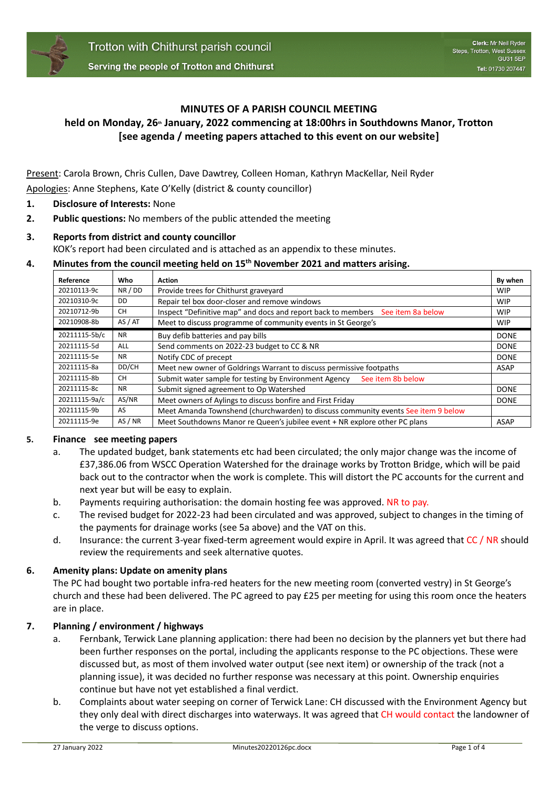

## **MINUTES OF A PARISH COUNCIL MEETING**

# **held on Monday, 26th January, 2022 commencing at 18:00hrs in Southdowns Manor, Trotton [see agenda / meeting papers attached to this event on our website]**

Present: Carola Brown, Chris Cullen, Dave Dawtrey, Colleen Homan, Kathryn MacKellar, Neil Ryder Apologies: Anne Stephens, Kate O'Kelly (district & county councillor)

- **1. Disclosure of Interests:** None
- **2. Public questions:** No members of the public attended the meeting

# **3. Reports from district and county councillor** KOK's report had been circulated and is attached as an appendix to these minutes.

### **4. Minutes from the council meeting held on 15th November 2021 and matters arising.**

| Reference     | Who        | <b>Action</b>                                                                     | By when     |
|---------------|------------|-----------------------------------------------------------------------------------|-------------|
| 20210113-9c   | NR/DD      | Provide trees for Chithurst graveyard                                             | WIP         |
| 20210310-9c   | DD.        | Repair tel box door-closer and remove windows                                     | <b>WIP</b>  |
| 20210712-9b   | <b>CH</b>  | Inspect "Definitive map" and docs and report back to members See item 8a below    | WIP         |
| 20210908-8b   | AS / AT    | Meet to discuss programme of community events in St George's                      | <b>WIP</b>  |
| 20211115-5b/c | <b>NR</b>  | Buy defib batteries and pay bills                                                 | <b>DONE</b> |
| 20211115-5d   | <b>ALL</b> | Send comments on 2022-23 budget to CC & NR                                        | <b>DONE</b> |
| 20211115-5e   | <b>NR</b>  | Notify CDC of precept                                                             | <b>DONE</b> |
| 20211115-8a   | DD/CH      | Meet new owner of Goldrings Warrant to discuss permissive footpaths               | ASAP        |
| 20211115-8b   | <b>CH</b>  | Submit water sample for testing by Environment Agency<br>See item 8b below        |             |
| 20211115-8c   | <b>NR</b>  | Submit signed agreement to Op Watershed                                           | <b>DONE</b> |
| 20211115-9a/c | AS/NR      | Meet owners of Aylings to discuss bonfire and First Friday                        | <b>DONE</b> |
| 20211115-9b   | AS         | Meet Amanda Townshend (churchwarden) to discuss community events See item 9 below |             |
| 20211115-9e   | AS / NR    | Meet Southdowns Manor re Queen's jubilee event + NR explore other PC plans        | <b>ASAP</b> |

### **5. Finance see meeting papers**

- a. The updated budget, bank statements etc had been circulated; the only major change was the income of £37,386.06 from WSCC Operation Watershed for the drainage works by Trotton Bridge, which will be paid back out to the contractor when the work is complete. This will distort the PC accounts for the current and next year but will be easy to explain.
- b. Payments requiring authorisation: the domain hosting fee was approved. NR to pay.
- c. The revised budget for 2022-23 had been circulated and was approved, subject to changes in the timing of the payments for drainage works (see 5a above) and the VAT on this.
- d. Insurance: the current 3-year fixed-term agreement would expire in April. It was agreed that CC / NR should review the requirements and seek alternative quotes.

### **6. Amenity plans: Update on amenity plans**

The PC had bought two portable infra-red heaters for the new meeting room (converted vestry) in St George's church and these had been delivered. The PC agreed to pay £25 per meeting for using this room once the heaters are in place.

### **7. Planning / environment / highways**

- a. Fernbank, Terwick Lane planning application: there had been no decision by the planners yet but there had been further responses on the portal, including the applicants response to the PC objections. These were discussed but, as most of them involved water output (see next item) or ownership of the track (not a planning issue), it was decided no further response was necessary at this point. Ownership enquiries continue but have not yet established a final verdict.
- b. Complaints about water seeping on corner of Terwick Lane: CH discussed with the Environment Agency but they only deal with direct discharges into waterways. It was agreed that CH would contact the landowner of the verge to discuss options.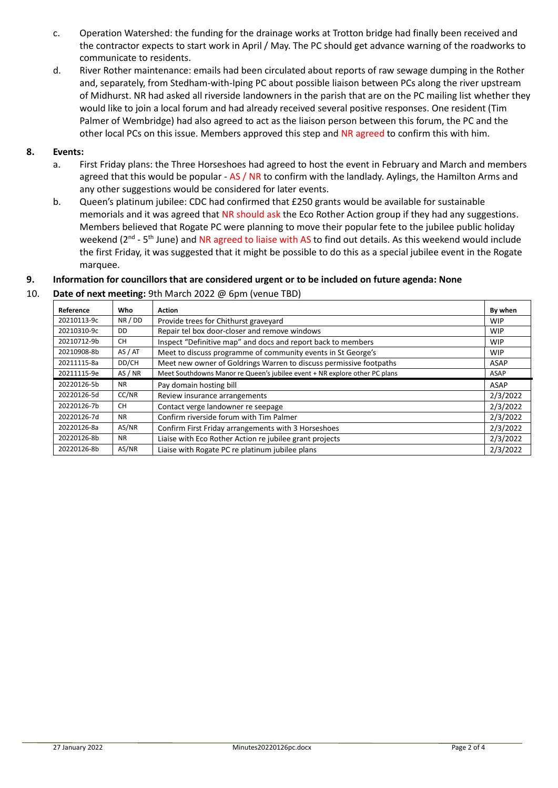- c. Operation Watershed: the funding for the drainage works at Trotton bridge had finally been received and the contractor expects to start work in April / May. The PC should get advance warning of the roadworks to communicate to residents.
- d. River Rother maintenance: emails had been circulated about reports of raw sewage dumping in the Rother and, separately, from Stedham-with-Iping PC about possible liaison between PCs along the river upstream of Midhurst. NR had asked all riverside landowners in the parish that are on the PC mailing list whether they would like to join a local forum and had already received several positive responses. One resident (Tim Palmer of Wembridge) had also agreed to act as the liaison person between this forum, the PC and the other local PCs on this issue. Members approved this step and NR agreed to confirm this with him.

### **8. Events:**

- a. First Friday plans: the Three Horseshoes had agreed to host the event in February and March and members agreed that this would be popular - AS / NR to confirm with the landlady. Aylings, the Hamilton Arms and any other suggestions would be considered for later events.
- b. Queen's platinum jubilee: CDC had confirmed that £250 grants would be available for sustainable memorials and it was agreed that NR should ask the Eco Rother Action group if they had any suggestions. Members believed that Rogate PC were planning to move their popular fete to the jubilee public holiday weekend (2<sup>nd</sup> - 5<sup>th</sup> June) and NR agreed to liaise with AS to find out details. As this weekend would include the first Friday, it was suggested that it might be possible to do this as a special jubilee event in the Rogate marquee.

# **9. Information for councillors that are considered urgent or to be included on future agenda: None**

### 10. **Date of next meeting:** 9th March 2022 @ 6pm (venue TBD)

| Reference   | Who       | Action                                                                     | By when    |
|-------------|-----------|----------------------------------------------------------------------------|------------|
| 20210113-9c | NR / DD   | Provide trees for Chithurst graveyard                                      | <b>WIP</b> |
| 20210310-9c | DD.       | Repair tel box door-closer and remove windows                              | <b>WIP</b> |
| 20210712-9b | <b>CH</b> | Inspect "Definitive map" and docs and report back to members               | <b>WIP</b> |
| 20210908-8b | AS / AT   | Meet to discuss programme of community events in St George's               | <b>WIP</b> |
| 20211115-8a | DD/CH     | Meet new owner of Goldrings Warren to discuss permissive footpaths         | ASAP       |
| 20211115-9e | AS / NR   | Meet Southdowns Manor re Queen's jubilee event + NR explore other PC plans | ASAP       |
|             |           |                                                                            |            |
| 20220126-5b | <b>NR</b> | Pay domain hosting bill                                                    | ASAP       |
| 20220126-5d | CC/NR     | Review insurance arrangements                                              | 2/3/2022   |
| 20220126-7b | <b>CH</b> | Contact verge landowner re seepage                                         | 2/3/2022   |
| 20220126-7d | <b>NR</b> | Confirm riverside forum with Tim Palmer                                    | 2/3/2022   |
| 20220126-8a | AS/NR     | Confirm First Friday arrangements with 3 Horseshoes                        | 2/3/2022   |
| 20220126-8b | <b>NR</b> | Liaise with Eco Rother Action re jubilee grant projects                    | 2/3/2022   |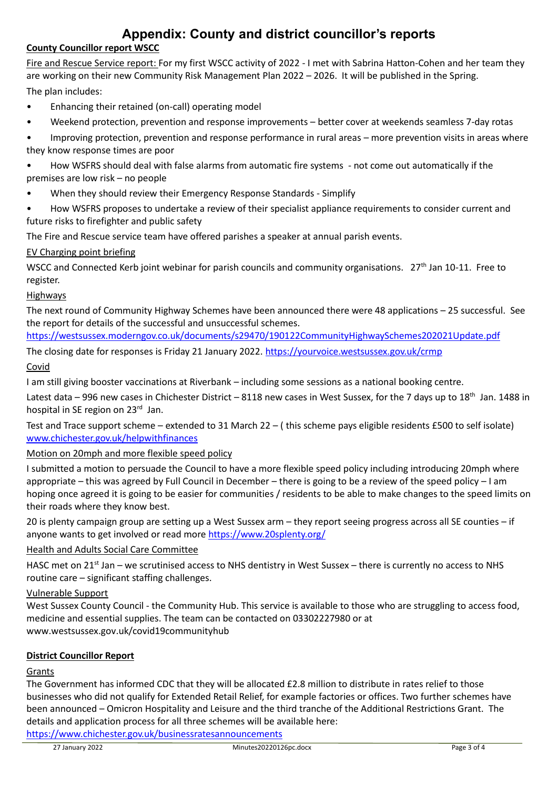# **Appendix: County and district councillor's reports**

# **County Councillor report WSCC**

Fire and Rescue Service report: For my first WSCC activity of 2022 - I met with Sabrina Hatton-Cohen and her team they are working on their new Community Risk Management Plan 2022 – 2026. It will be published in the Spring. The plan includes:

- Enhancing their retained (on-call) operating model
- Weekend protection, prevention and response improvements better cover at weekends seamless 7-day rotas
- Improving protection, prevention and response performance in rural areas more prevention visits in areas where they know response times are poor
- How WSFRS should deal with false alarms from automatic fire systems not come out automatically if the premises are low risk – no people
- When they should review their Emergency Response Standards Simplify
- How WSFRS proposes to undertake a review of their specialist appliance requirements to consider current and future risks to firefighter and public safety

The Fire and Rescue service team have offered parishes a speaker at annual parish events.

# EV Charging point briefing

WSCC and Connected Kerb joint webinar for parish councils and community organisations. 27<sup>th</sup> Jan 10-11. Free to register.

### Highways

The next round of Community Highway Schemes have been announced there were 48 applications – 25 successful. See the report for details of the successful and unsuccessful schemes.

<https://westsussex.moderngov.co.uk/documents/s29470/190122CommunityHighwaySchemes202021Update.pdf>

The closing date for responses is Friday 21 January 2022.<https://yourvoice.westsussex.gov.uk/crmp>

# Covid

I am still giving booster vaccinations at Riverbank – including some sessions as a national booking centre.

Latest data – 996 new cases in Chichester District – 8118 new cases in West Sussex, for the 7 days up to 18<sup>th</sup> Jan. 1488 in hospital in SE region on 23<sup>rd</sup> Jan.

Test and Trace support scheme – extended to 31 March 22 – ( this scheme pays eligible residents £500 to self isolate) [www.chichester.gov.uk/helpwithfinances](http://www.chichester.gov.uk/helpwithfinances)

# Motion on 20mph and more flexible speed policy

I submitted a motion to persuade the Council to have a more flexible speed policy including introducing 20mph where appropriate – this was agreed by Full Council in December – there is going to be a review of the speed policy – I am hoping once agreed it is going to be easier for communities / residents to be able to make changes to the speed limits on their roads where they know best.

20 is plenty campaign group are setting up a West Sussex arm – they report seeing progress across all SE counties – if anyone wants to get involved or read more<https://www.20splenty.org/>

### Health and Adults Social Care Committee

HASC met on 21<sup>st</sup> Jan – we scrutinised access to NHS dentistry in West Sussex – there is currently no access to NHS routine care – significant staffing challenges.

### Vulnerable Support

West Sussex County Council - the Community Hub. This service is available to those who are struggling to access food, medicine and essential supplies. The team can be contacted on 03302227980 or at www.westsussex.gov.uk/covid19communityhub

# **District Councillor Report**

# Grants

The Government has informed CDC that they will be allocated £2.8 million to distribute in rates relief to those businesses who did not qualify for Extended Retail Relief, for example factories or offices. Two further schemes have been announced – Omicron Hospitality and Leisure and the third tranche of the Additional Restrictions Grant. The details and application process for all three schemes will be available here:

<https://www.chichester.gov.uk/businessratesannouncements>